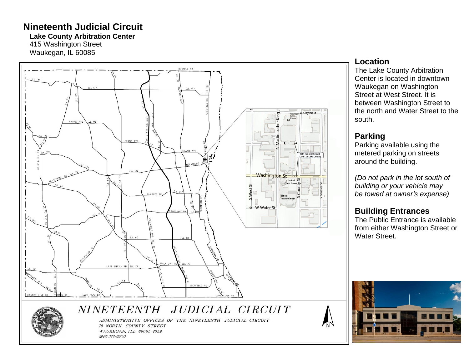# **Nineteenth Judicial Circuit**

**Lake County Arbitration Center** 

415 Washington Street Waukegan, IL 60085





ADMINISTRATIVE OFFICES OF THE NINETEENTH JUDICIAL CIRCUIT 18 NORTH COUNTY STREET WAUKEGAN, ILL 60085-4359 (847) 377-3600

#### **Location**

The Lake County Arbitration Center is located in downtown Waukegan on Washington Street at West Street. It is between Washington Street to the north and Water Street to the south.

### **Parking**

Parking a vailable using the metered parking on streets around the building.

*(Do not park in the lot south of building or your vehicle may be towed at owner 's expense)*

## **Building Entrances**

The Public Entrance is available from either Washington Street or Water Street.